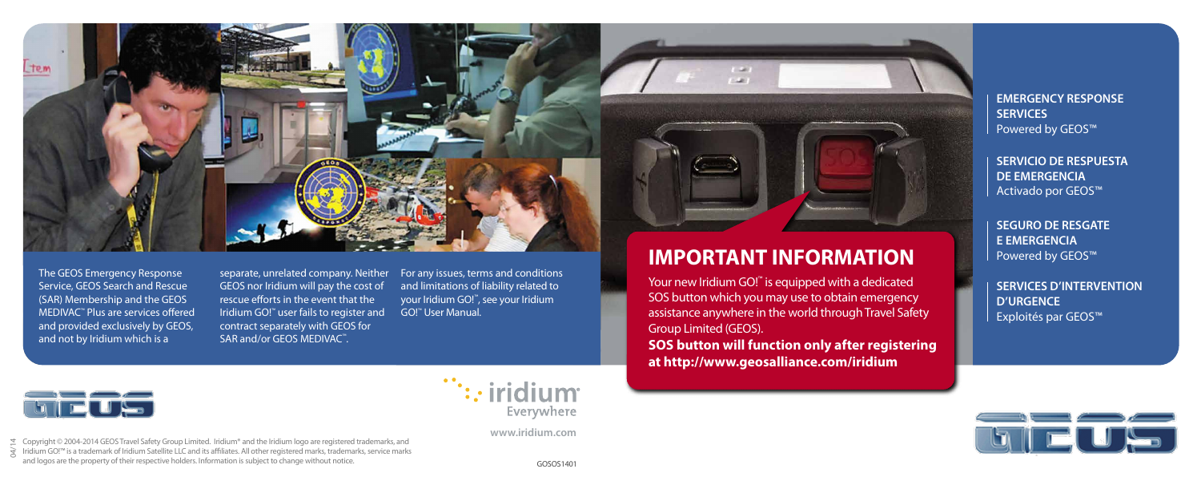

The GEOS Emergency Response Service, GEOS Search and Rescue (SAR) Membership and the GEOS MEDIVAC™ Plus are services offered and provided exclusively by GEOS, and not by Iridium which is a

separate, unrelated company. Neither GEOS nor Iridium will pay the cost of rescue efforts in the event that the Iridium GO!™ user fails to register and contract separately with GEOS for SAR and/or GEOS MEDIVAC™.

For any issues, terms and conditions and limitations of liability related to your Iridium GO!™, see your Iridium GO!™ User Manual.

# **IMPORTANT INFORMATION**

Your new Iridium GO! ™ is equipped with a dedicated SOS button which you may use to obtain emergency assistance anywhere in the world through Travel Safety Group Limited (GEOS).

**SOS button will function only after registering at http://www.geosalliance.com/iridium**

**EMERGENCY RESPONSE SERVICES** Powered by GEOS™

**SERVICIO DE RESPUESTA DE EMERGENCIA** Activado por GEOS™

**SEGURO DE RESGATE E EMERGENCIA** Powered by GEOS™

**SERVICES D'INTERVENTION D'URGENCE** Exploités par GEOS™



Copyright © 2004-2014 GEOS Travel Safety Group Limited. Iridium® and the Iridium logo are registered trademarks, and ජ Copyright © 2004-2014 GEOS Travel Safety Group Limited. Iridium® and the Iridium logo are registered trademarks, and<br>कु Iridium GO!™ is a trademark of Iridium Satellite LLC and its affiliates. All other registered and logos are the property of their respective holders. Information is subject to change without notice.



**www.iridium.com**